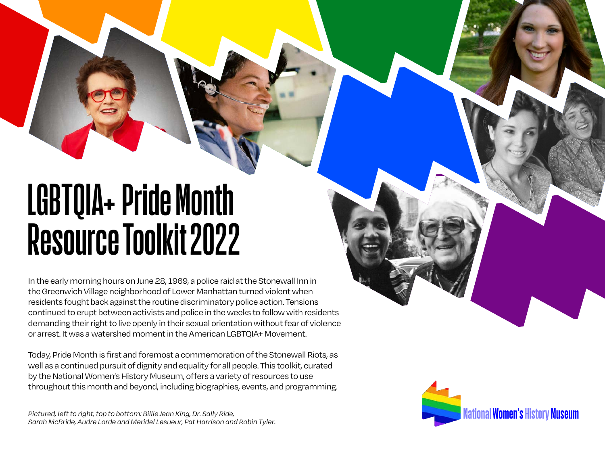# **LGBTQIA+PrideMonth** Resource Toolkit 2022

In the early morning hours on June 28, 1969, a police raid at the Stonewall Inn in the Greenwich Village neighborhood of Lower Manhattan turned violent when residents fought back against the routine discriminatory police action.Tensions continued to erupt between activists and police in the weeks to follow with residents demanding their right to live openly in their sexual orientation without fear of violence or arrest. It was a watershed moment in the American LGBTQIA+ Movement.

Today, Pride Month is first and foremost a commemoration of the Stonewall Riots, as well as a continued pursuit of dignity and equality for all people. This toolkit, curated by the National Women's History Museum, offers a variety of resources to use throughout this month and beyond, including biographies, events, and programming.

*Pictured, left to right, top to bottom: Billie Jean King, Dr. Sally Ride, Sarah McBride, Audre Lorde and Meridel Lesueur, Pat Harrison and Robin Tyler.*

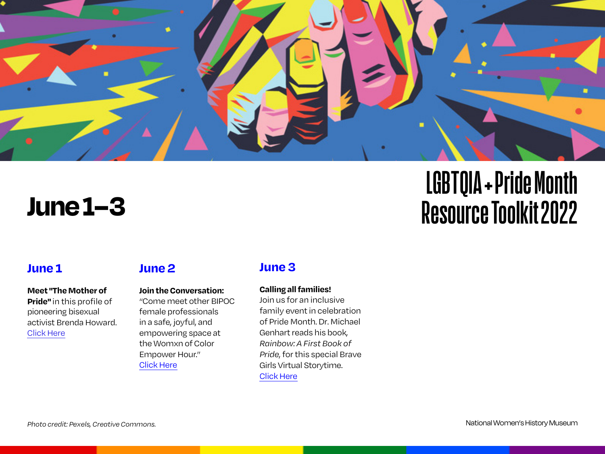

# **June 1–3**

# **LGBTQIA + Pride Month Resource Toolkit 2022**

### **June 1**

**Meet "The Mother of Pride"** in this profile of pioneering bisexual activist Brenda Howard. [Click Here](https://www.them.us/story/brenda-howard)

### **June 2**

#### **Join the Conversation:**

"Come meet other BIPOC female professionals in a safe, joyful, and empowering space at the Womxn of Color Empower Hour." [Click Here](https://www.eventbrite.com/e/womxn-of-color-empower-hour-tickets-240596078347?aff=eprofsaved)

### **June 3**

#### **Calling all families!**

Join us for an inclusive family event in celebration of Pride Month. Dr. Michael Genhart reads his book, *Rainbow:A First Book of Pride*, for this special Brave Girls Virtual Storytime. [Click Here](https://www.youtube.com/watch?v=2pZl42ctphI&t=211s)

National Women's History Museum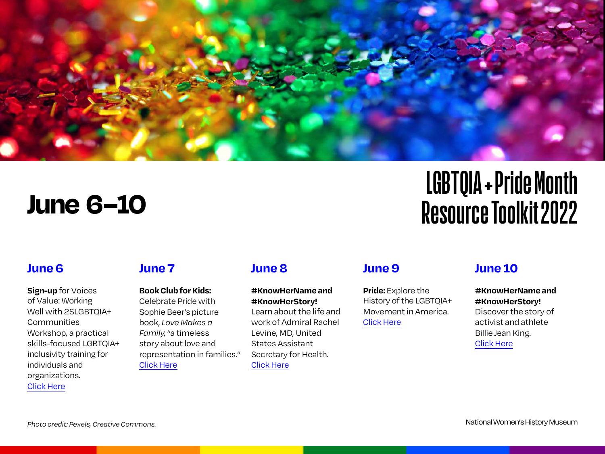

# **June 6–10**

# **LGBTQIA + Pride Month Resource Toolkit 2022**

### **June 6**

**Sign-up**for Voices of Value: Working Well with 2SLGBTOIA+ Communities Workshop, a practical skills-focused LGBTQIA+ inclusivity training for individuals and organizations. [Click Here](https://www.eventbrite.com/e/voices-of-value-working-well-with-2slgbtq-communities-workshop-tickets-277730588667?aff=eprofsaved&keep_tld=1)

# **June 7**

**Book Club for Kids:**  Celebrate Pride with Sophie Beer's picture book, *Love Makes a Family*, "a timeless story about love and representation in families." [Click Here](https://www.eventbrite.com/e/family-book-club-for-kids-celebrating-family-love-pride-registration-315740356907?aff=eprofsaved)

# **June 8**

**#KnowHerName and #KnowHerStory!** Learn about the life and work of Admiral Rachel Levine, MD, United States Assistant Secretary for Health. [Click Here](https://www.womenshistory.org/education-resources/biographies/rachel-levine)

### **June 9**

**Pride:**Explore the History of the LGBTQIA+ Movement in America. [Click Here](https://history.com/pride)

# **June 10**

**#KnowHerName and #KnowHerStory!**  Discover the story of activist and athlete Billie Jean King. [Click Here](https://www.womenshistory.org/education-resources/biographies/billie-jean-king)

*Photo credit: Pexels, Creative Commons.*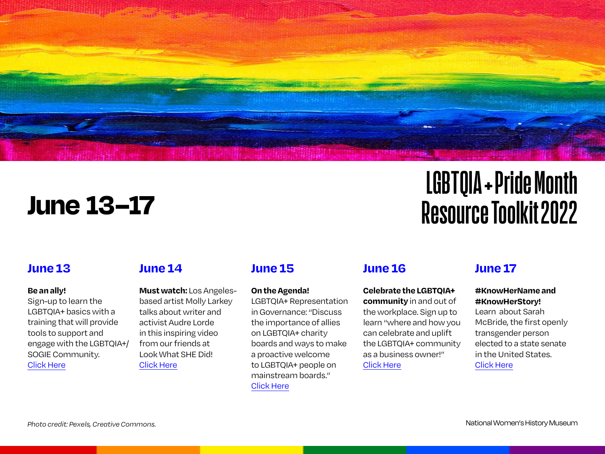

# **June 13–17**

# **LGBTQIA + Pride Month Resource Toolkit 2022**

# **June 13**

#### **Be an ally!**

Sign-up to learn the LGBTQIA+ basics with a training that will provide tools to support and engage with the LGBTQIA+/ SOGIE Community. [Click Here](https://www.eventbrite.com/e/lgbtq-basics-tickets-291473303497?aff=eprofsaved)

# **June 14**

**Must watch:** Los Angelesbased artist Molly Larkey talks about writer and activist Audre Lorde in this inspiring video from our friends at Look What SHE Did! [Click Here](https://lookwhatshedid.com/story/molly-larkey-on-audre-lorde/)

# **June 15**

#### **On the Agenda!**

LGBTQIA+ Representation in Governance: "Discuss the importance of allies on LGBTQIA+ charity boards and ways to make a proactive welcome to LGBTQIA+ people on mainstream boards." [Click Here](https://www.eventbrite.com/e/on-the-agenda-lgbtqia-representation-in-governance-tickets-313269275837?aff=eprofsaved&keep_tld=1)

# **June 16**

**Celebrate the LGBTQIA+ community** in and out of the workplace. Sign up to learn "where and how you can celebrate and uplift the LGBTQIA+ community as a business owner!" [Click Here](https://www.eventbrite.com/e/business-celebrating-the-lgbtq-community-in-and-out-of-the-workplace-registration-315753436027?aff=eprofsaved)

# **June 17**

#### **#KnowHerName and #KnowHerStory!**

Learn about Sarah McBride, the first openly transgender person elected to a state senate in the United States. [Click Here](https://www.womenshistory.org/education-resources/biographies/sarah-mcbride)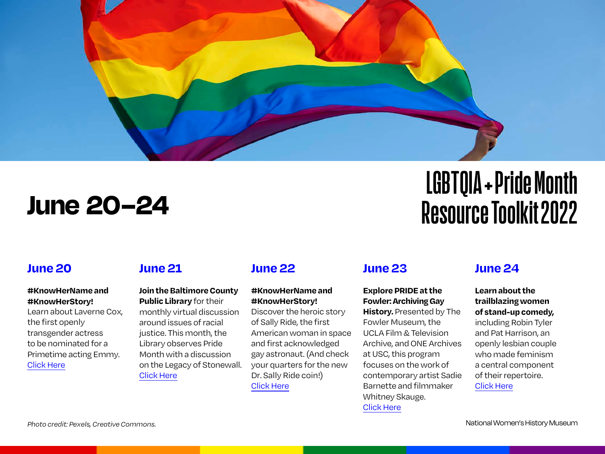

# **June 20–24**

### **June 20**

### **#KnowHerName and #KnowHerStory!**

Learn about Laverne Cox, the first openly transgender actress to be nominated for a Primetime acting Emmy. [Click Here](https://www.womenshistory.org/education-resources/biographies/laverne-cox)

### **June 21**

#### **Join the Baltimore County Public Library** for their

monthly virtual discussion around issues of racial justice. This month, the Library observes Pride Month with a discussion on the Legacy of Stonewall. [Click Here](https://www.eventbrite.com/e/june-anti-racism-discussion-the-legacy-of-stonewall-tickets-323450598447?aff=eprofsaved)

# **June 22**

### **#KnowHerName and #KnowHerStory!**

Discover the heroic story of Sally Ride, the first American woman in space and first acknowledged gay astronaut. (And check your quarters for the new Dr. Sally Ride coin!) [Click Here](https://www.womenshistory.org/education-resources/biographies/sally-ride)

# **June 23**

### **Explore PRIDE at the Fowler:Archiving Gay**

**History.** Presented by The Fowler Museum, the UCLA Film &Television Archive, and ONE Archives at USC, this program focuses on the work of contemporary artist Sadie Barnette and filmmaker Whitney Skauge. [Click Here](https://www.eventbrite.com/e/pride-at-the-fowler-archiving-gay-history-tickets-319195350887?aff=eprofsaved)

# **Resource Toolkit 2022**

**LGBTQIA + Pride Month**

# **June 24**

**Learn about the trailblazing women of stand-up comedy,**  including Robin Tyler and Pat Harrison, an openly lesbian couple who made feminism a central component of their repertoire. [Click Here](https://www.womenshistory.org/articles/trailblazing-women-stand-comedy)